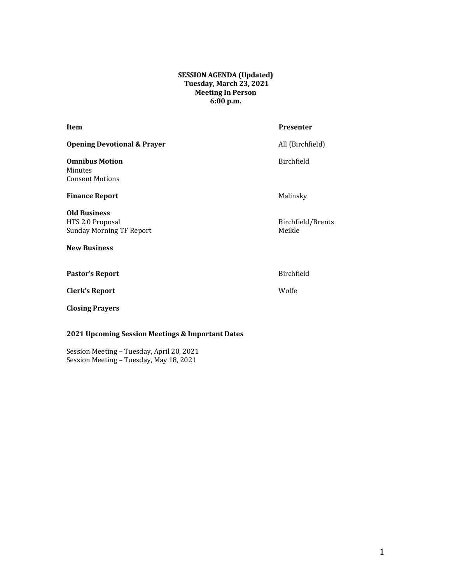#### **SESSION AGENDA (Updated) Tuesday, March 23, 2021 Meeting In Person 6:00 p.m.**

| Item                                                                                              | <b>Presenter</b>            |
|---------------------------------------------------------------------------------------------------|-----------------------------|
| <b>Opening Devotional &amp; Prayer</b>                                                            | All (Birchfield)            |
| <b>Omnibus Motion</b><br>Minutes<br><b>Consent Motions</b>                                        | Birchfield                  |
| <b>Finance Report</b>                                                                             | Malinsky                    |
| <b>Old Business</b><br>HTS 2.0 Proposal<br><b>Sunday Morning TF Report</b><br><b>New Business</b> | Birchfield/Brents<br>Meikle |
| <b>Pastor's Report</b>                                                                            | Birchfield                  |
| <b>Clerk's Report</b>                                                                             | Wolfe                       |
| <b>Closing Prayers</b>                                                                            |                             |

## **2021 Upcoming Session Meetings & Important Dates**

Session Meeting - Tuesday, April 20, 2021 Session Meeting - Tuesday, May 18, 2021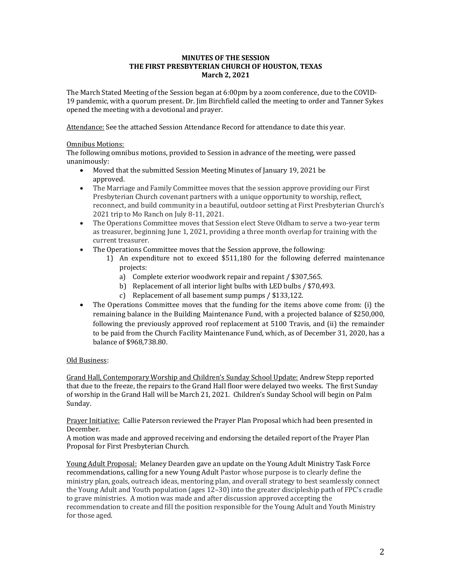#### **MINUTES OF THE SESSION THE FIRST PRESBYTERIAN CHURCH OF HOUSTON, TEXAS March 2, 2021**

The March Stated Meeting of the Session began at 6:00pm by a zoom conference, due to the COVID-19 pandemic, with a quorum present. Dr. Jim Birchfield called the meeting to order and Tanner Sykes opened the meeting with a devotional and prayer.

Attendance: See the attached Session Attendance Record for attendance to date this year.

#### **Omnibus Motions:**

The following omnibus motions, provided to Session in advance of the meeting, were passed unanimously:

- Moved that the submitted Session Meeting Minutes of January 19, 2021 be approved.
- The Marriage and Family Committee moves that the session approve providing our First Presbyterian Church covenant partners with a unique opportunity to worship, reflect, reconnect, and build community in a beautiful, outdoor setting at First Presbyterian Church's 2021 trip to Mo Ranch on July 8-11, 2021.
- The Operations Committee moves that Session elect Steve Oldham to serve a two-year term as treasurer, beginning  $\text{June } 1, 2021, \text{ providing a three month overlap for training with the}$ current treasurer.
- The Operations Committee moves that the Session approve, the following:
	- 1) An expenditure not to exceed \$511,180 for the following deferred maintenance projects:
		- a) Complete exterior woodwork repair and repaint / \$307,565.
		- b) Replacement of all interior light bulbs with LED bulbs / \$70,493.
		- c) Replacement of all basement sump pumps / \$133,122.
- The Operations Committee moves that the funding for the items above come from: (i) the remaining balance in the Building Maintenance Fund, with a projected balance of \$250,000, following the previously approved roof replacement at 5100 Travis, and (ii) the remainder to be paid from the Church Facility Maintenance Fund, which, as of December 31, 2020, has a balance of \$968,738.80.

### Old Business:

Grand Hall, Contemporary Worship and Children's Sunday School Update: Andrew Stepp reported that due to the freeze, the repairs to the Grand Hall floor were delayed two weeks. The first Sunday of worship in the Grand Hall will be March 21, 2021. Children's Sunday School will begin on Palm Sunday. 

Prayer Initiative: Callie Paterson reviewed the Prayer Plan Proposal which had been presented in December. 

A motion was made and approved receiving and endorsing the detailed report of the Prayer Plan Proposal for First Presbyterian Church.

Young Adult Proposal: Melaney Dearden gave an update on the Young Adult Ministry Task Force recommendations, calling for a new Young Adult Pastor whose purpose is to clearly define the ministry plan, goals, outreach ideas, mentoring plan, and overall strategy to best seamlessly connect the Young Adult and Youth population (ages  $12-30$ ) into the greater discipleship path of FPC's cradle to grave ministries. A motion was made and after discussion approved accepting the recommendation to create and fill the position responsible for the Young Adult and Youth Ministry for those aged.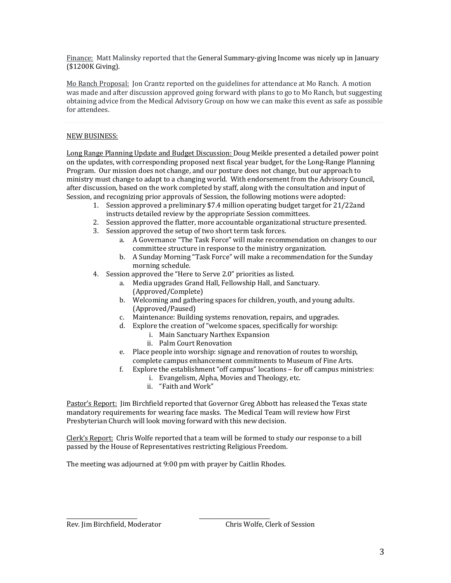Finance: Matt Malinsky reported that the General Summary-giving Income was nicely up in January (\$1200K Giving). 

Mo Ranch Proposal: Jon Crantz reported on the guidelines for attendance at Mo Ranch. A motion was made and after discussion approved going forward with plans to go to Mo Ranch, but suggesting obtaining advice from the Medical Advisory Group on how we can make this event as safe as possible for attendees.

#### NEW BUSINESS:

Long Range Planning Update and Budget Discussion: Doug Meikle presented a detailed power point on the updates, with corresponding proposed next fiscal year budget, for the Long-Range Planning Program. Our mission does not change, and our posture does not change, but our approach to ministry must change to adapt to a changing world. With endorsement from the Advisory Council, after discussion, based on the work completed by staff, along with the consultation and input of Session, and recognizing prior approvals of Session, the following motions were adopted:

- 1. Session approved a preliminary \$7.4 million operating budget target for 21/22and instructs detailed review by the appropriate Session committees.
- 2. Session approved the flatter, more accountable organizational structure presented.
- 3. Session approved the setup of two short term task forces.
	- a. A Governance "The Task Force" will make recommendation on changes to our committee structure in response to the ministry organization.
	- b. A Sunday Morning "Task Force" will make a recommendation for the Sunday morning schedule.
- 4. Session approved the "Here to Serve 2.0" priorities as listed.
	- a. Media upgrades Grand Hall, Fellowship Hall, and Sanctuary. (Approved/Complete)
	- b. Welcoming and gathering spaces for children, youth, and young adults. (Approved/Paused)
	- c. Maintenance: Building systems renovation, repairs, and upgrades.
	- d. Explore the creation of "welcome spaces, specifically for worship:
		- i. Main Sanctuary Narthex Expansion
		- ii. Palm Court Renovation
	- e. Place people into worship: signage and renovation of routes to worship, complete campus enhancement commitments to Museum of Fine Arts.
	- f. Explore the establishment "off campus" locations  $-$  for off campus ministries:
		- i. Evangelism, Alpha, Movies and Theology, etc.
		- ii. "Faith and Work"

Pastor's Report: Jim Birchfield reported that Governor Greg Abbott has released the Texas state mandatory requirements for wearing face masks. The Medical Team will review how First Presbyterian Church will look moving forward with this new decision.

Clerk's Report: Chris Wolfe reported that a team will be formed to study our response to a bill passed by the House of Representatives restricting Religious Freedom.

The meeting was adjourned at 9:00 pm with prayer by Caitlin Rhodes.

\_\_\_\_\_\_\_\_\_\_\_\_\_\_\_\_\_\_\_\_\_\_\_\_\_\_ \_\_\_\_\_\_\_\_\_\_\_\_\_\_\_\_\_\_\_\_\_\_\_\_\_\_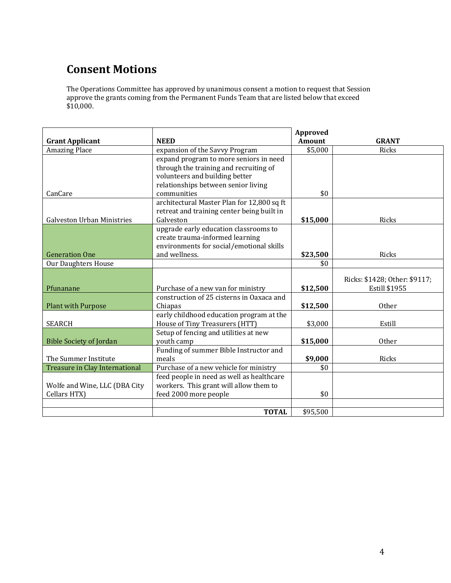# **Consent Motions**

The Operations Committee has approved by unanimous consent a motion to request that Session approve the grants coming from the Permanent Funds Team that are listed below that exceed  $$10,000.$ 

|                                   |                                            | <b>Approved</b> |                               |
|-----------------------------------|--------------------------------------------|-----------------|-------------------------------|
| <b>Grant Applicant</b>            | <b>NEED</b>                                | <b>Amount</b>   | <b>GRANT</b>                  |
| <b>Amazing Place</b>              | expansion of the Savvy Program             | \$5,000         | <b>Ricks</b>                  |
|                                   | expand program to more seniors in need     |                 |                               |
|                                   | through the training and recruiting of     |                 |                               |
|                                   | volunteers and building better             |                 |                               |
|                                   | relationships between senior living        |                 |                               |
| CanCare                           | communities                                | \$0             |                               |
|                                   | architectural Master Plan for 12,800 sq ft |                 |                               |
|                                   | retreat and training center being built in |                 |                               |
| <b>Galveston Urban Ministries</b> | Galveston                                  | \$15,000        | <b>Ricks</b>                  |
|                                   | upgrade early education classrooms to      |                 |                               |
|                                   | create trauma-informed learning            |                 |                               |
|                                   | environments for social/emotional skills   |                 |                               |
| <b>Generation One</b>             | and wellness.                              | \$23,500        | Ricks                         |
| <b>Our Daughters House</b>        |                                            | \$0             |                               |
|                                   |                                            |                 |                               |
|                                   |                                            |                 | Ricks: \$1428; Other: \$9117; |
| Pfunanane                         | Purchase of a new van for ministry         | \$12,500        | Estill \$1955                 |
|                                   | construction of 25 cisterns in Oaxaca and  |                 |                               |
| <b>Plant with Purpose</b>         | Chiapas                                    | \$12,500        | <b>Other</b>                  |
|                                   | early childhood education program at the   |                 |                               |
| <b>SEARCH</b>                     | House of Tiny Treasurers (HTT)             | \$3,000         | Estill                        |
|                                   | Setup of fencing and utilities at new      |                 |                               |
| <b>Bible Society of Jordan</b>    | youth camp                                 | \$15,000        | <b>Other</b>                  |
|                                   | Funding of summer Bible Instructor and     |                 |                               |
| The Summer Institute              | meals                                      | \$9,000         | Ricks                         |
| Treasure in Clay International    | Purchase of a new vehicle for ministry     | \$0             |                               |
|                                   | feed people in need as well as healthcare  |                 |                               |
| Wolfe and Wine, LLC (DBA City     | workers. This grant will allow them to     |                 |                               |
| Cellars HTX)                      | feed 2000 more people                      | \$0             |                               |
|                                   |                                            |                 |                               |
|                                   | <b>TOTAL</b>                               | \$95,500        |                               |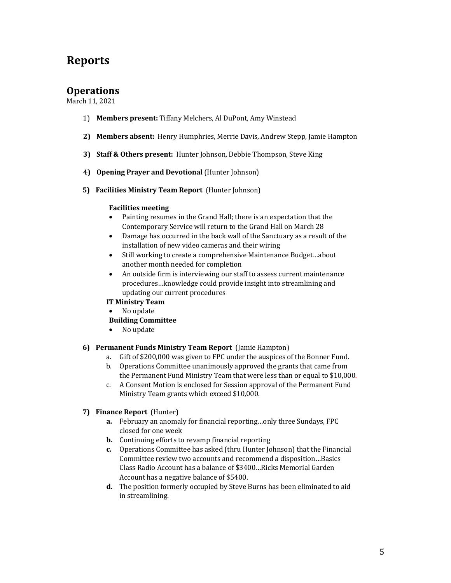# **Reports**

## **Operations**

March 11, 2021

- 1) **Members present:** Tiffany Melchers, Al DuPont, Amy Winstead
- 2) Members absent: Henry Humphries, Merrie Davis, Andrew Stepp, Jamie Hampton
- **3) Staff & Others present:** Hunter Johnson, Debbie Thompson, Steve King
- **4) Opening Prayer and Devotional** (Hunter Johnson)
- **5)** Facilities Ministry Team Report (Hunter Johnson)

#### **Facilities meeting**

- Painting resumes in the Grand Hall; there is an expectation that the Contemporary Service will return to the Grand Hall on March 28
- Damage has occurred in the back wall of the Sanctuary as a result of the installation of new video cameras and their wiring
- Still working to create a comprehensive Maintenance Budget...about another month needed for completion
- An outside firm is interviewing our staff to assess current maintenance procedures...knowledge could provide insight into streamlining and updating our current procedures
- **IT Ministry Team**
- No update

### **Building Committee**

• No update

#### **6) Permanent Funds Ministry Team Report** (Jamie Hampton)

- a. Gift of \$200,000 was given to FPC under the auspices of the Bonner Fund.
- b. Operations Committee unanimously approved the grants that came from the Permanent Fund Ministry Team that were less than or equal to \$10,000.
- c. A Consent Motion is enclosed for Session approval of the Permanent Fund Ministry Team grants which exceed \$10,000.

### **7) Finance Report** (Hunter)

- **a.** February an anomaly for financial reporting...only three Sundays, FPC closed for one week
- **b.** Continuing efforts to revamp financial reporting
- **c.** Operations Committee has asked (thru Hunter Johnson) that the Financial Committee review two accounts and recommend a disposition...Basics Class Radio Account has a balance of \$3400...Ricks Memorial Garden Account has a negative balance of \$5400.
- **d.** The position formerly occupied by Steve Burns has been eliminated to aid in streamlining.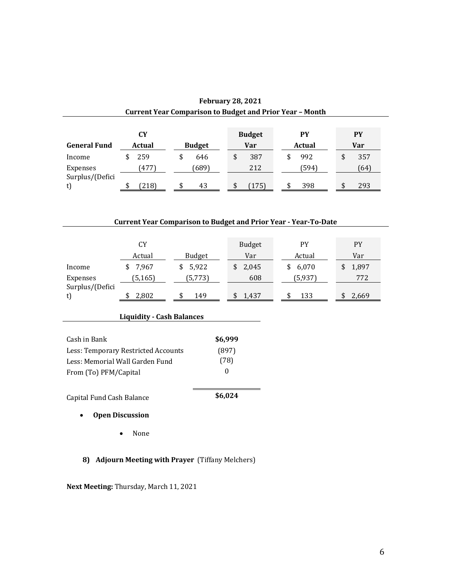| <b>Current Year Comparison to Budget and Prior Year - Month</b> |        |               |               |        |           |
|-----------------------------------------------------------------|--------|---------------|---------------|--------|-----------|
|                                                                 | CY     |               | <b>Budget</b> | PY     | PY        |
| <b>General Fund</b>                                             | Actual | <b>Budget</b> | Var           | Actual | Var       |
| Income                                                          | 259    | \$<br>646     | 387<br>\$     | 992    | 357<br>\$ |
| Expenses<br>Surplus/(Defici                                     | (477)  | (689          | 212           | (594)  | (64)      |
|                                                                 | (218)  | 43            | (175)         | 398    | 293       |

| <b>February 28, 2021</b>                                 |  |
|----------------------------------------------------------|--|
| Current Year Comparison to Budget and Prior Year – Montl |  |

## **Current Year Comparison to Budget and Prior Year - Year-To-Date**

|                       | CY      |         | <b>Budget</b> | PY      | <b>PY</b> |
|-----------------------|---------|---------|---------------|---------|-----------|
|                       | Actual  | Budget  | Var           | Actual  | Var       |
| Income                | 7.967   | \$5,922 | 2,045         | \$6,070 | \$1,897   |
| Expenses              | (5,165) | (5,773) | 608           | (5,937) | 772       |
| Surplus/(Defici<br>t) | 2,802   | 149     | 1.437         | 133     | 2,669     |

| <b>Liquidity - Cash Balances</b> |  |  |
|----------------------------------|--|--|
|                                  |  |  |

| Capital Fund Cash Balance           | \$6,024 |
|-------------------------------------|---------|
| From (To) PFM/Capital               |         |
| Less: Memorial Wall Garden Fund     | (78)    |
| Less: Temporary Restricted Accounts | (897)   |
| Cash in Bank                        | \$6,999 |

## • **Open Discussion**

• None

**8) Adjourn Meeting with Prayer** (Tiffany Melchers)

**Next Meeting:** Thursday, March 11, 2021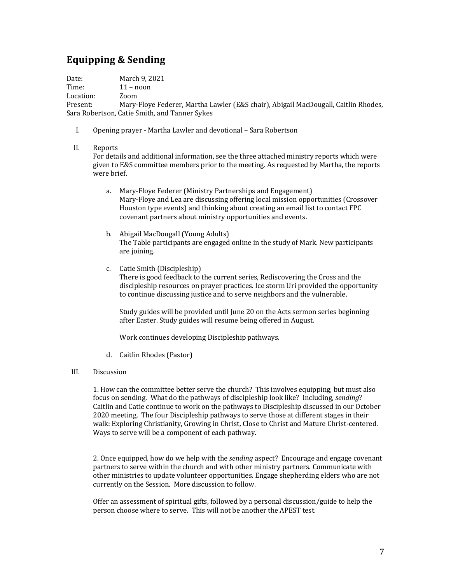# **Equipping & Sending**

Date: March 9, 2021

Time: 11 - noon

Location: Zoom

Present: Mary-Floye Federer, Martha Lawler (E&S chair), Abigail MacDougall, Caitlin Rhodes, Sara Robertson, Catie Smith, and Tanner Sykes

I. Opening prayer - Martha Lawler and devotional - Sara Robertson

### II. Reports

For details and additional information, see the three attached ministry reports which were given to E&S committee members prior to the meeting. As requested by Martha, the reports were brief.

- a. Mary-Floye Federer (Ministry Partnerships and Engagement) Mary-Floye and Lea are discussing offering local mission opportunities (Crossover Houston type events) and thinking about creating an email list to contact FPC covenant partners about ministry opportunities and events.
- b. Abigail MacDougall (Young Adults) The Table participants are engaged online in the study of Mark. New participants are joining.
- c. Catie Smith (Discipleship)

There is good feedback to the current series, Rediscovering the Cross and the discipleship resources on prayer practices. Ice storm Uri provided the opportunity to continue discussing justice and to serve neighbors and the vulnerable.

Study guides will be provided until June 20 on the Acts sermon series beginning after Easter. Study guides will resume being offered in August.

Work continues developing Discipleship pathways.

d. Caitlin Rhodes (Pastor)

### III. Discussion

1. How can the committee better serve the church? This involves equipping, but must also focus on sending. What do the pathways of discipleship look like? Including, *sending*? Caitlin and Catie continue to work on the pathways to Discipleship discussed in our October 2020 meeting. The four Discipleship pathways to serve those at different stages in their walk: Exploring Christianity, Growing in Christ, Close to Christ and Mature Christ-centered. Ways to serve will be a component of each pathway.

2. Once equipped, how do we help with the *sending* aspect? Encourage and engage covenant partners to serve within the church and with other ministry partners. Communicate with other ministries to update volunteer opportunities. Engage shepherding elders who are not currently on the Session. More discussion to follow.

Offer an assessment of spiritual gifts, followed by a personal discussion/guide to help the person choose where to serve. This will not be another the APEST test.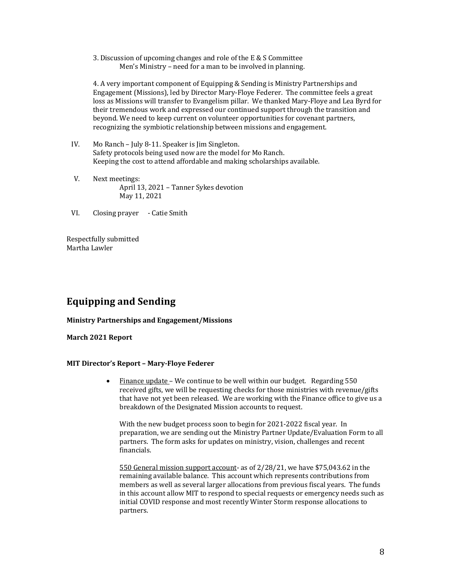3. Discussion of upcoming changes and role of the  $E \& S$  Committee Men's Ministry – need for a man to be involved in planning.

4. A very important component of Equipping & Sending is Ministry Partnerships and Engagement (Missions), led by Director Mary-Floye Federer. The committee feels a great loss as Missions will transfer to Evangelism pillar. We thanked Mary-Floye and Lea Byrd for their tremendous work and expressed our continued support through the transition and bevond. We need to keep current on volunteer opportunities for covenant partners, recognizing the symbiotic relationship between missions and engagement.

- IV. Mo Ranch July 8-11. Speaker is Jim Singleton. Safety protocols being used now are the model for Mo Ranch. Keeping the cost to attend affordable and making scholarships available.
- V. Next meetings: April 13, 2021 - Tanner Sykes devotion May 11, 2021
- VI. Closing prayer Catie Smith

Respectfully submitted Martha Lawler

## **Equipping and Sending**

#### **Ministry Partnerships and Engagement/Missions**

**March 2021 Report**

#### **MIT Director's Report – Mary-Floye Federer**

• Finance update - We continue to be well within our budget. Regarding 550 received gifts, we will be requesting checks for those ministries with revenue/gifts that have not yet been released. We are working with the Finance office to give us a breakdown of the Designated Mission accounts to request.

With the new budget process soon to begin for 2021-2022 fiscal year. In preparation, we are sending out the Ministry Partner Update/Evaluation Form to all partners. The form asks for updates on ministry, vision, challenges and recent financials. 

550 General mission support account- as of  $2/28/21$ , we have \$75,043.62 in the remaining available balance. This account which represents contributions from members as well as several larger allocations from previous fiscal years. The funds in this account allow MIT to respond to special requests or emergency needs such as initial COVID response and most recently Winter Storm response allocations to partners.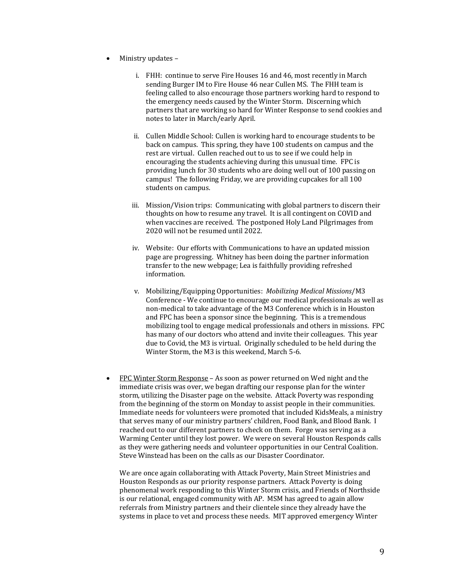- Ministry updates
	- i. FHH: continue to serve Fire Houses 16 and 46, most recently in March sending Burger IM to Fire House 46 near Cullen MS. The FHH team is feeling called to also encourage those partners working hard to respond to the emergency needs caused by the Winter Storm. Discerning which partners that are working so hard for Winter Response to send cookies and notes to later in March/early April.
	- ii. Cullen Middle School: Cullen is working hard to encourage students to be back on campus. This spring, they have 100 students on campus and the rest are virtual. Cullen reached out to us to see if we could help in encouraging the students achieving during this unusual time. FPC is providing lunch for 30 students who are doing well out of 100 passing on campus! The following Friday, we are providing cupcakes for all 100 students on campus.
	- iii. Mission/Vision trips: Communicating with global partners to discern their thoughts on how to resume any travel. It is all contingent on COVID and when vaccines are received. The postponed Holy Land Pilgrimages from 2020 will not be resumed until 2022.
	- iv. Website: Our efforts with Communications to have an updated mission page are progressing. Whitney has been doing the partner information transfer to the new webpage; Lea is faithfully providing refreshed information.
	- v. Mobilizing/Equipping Opportunities: *Mobilizing Medical Missions*/M3 Conference - We continue to encourage our medical professionals as well as non-medical to take advantage of the M3 Conference which is in Houston and FPC has been a sponsor since the beginning. This is a tremendous mobilizing tool to engage medical professionals and others in missions. FPC has many of our doctors who attend and invite their colleagues. This year due to Covid, the M3 is virtual. Originally scheduled to be held during the Winter Storm, the M3 is this weekend, March 5-6.
- FPC Winter Storm Response As soon as power returned on Wed night and the immediate crisis was over, we began drafting our response plan for the winter storm, utilizing the Disaster page on the website. Attack Poverty was responding from the beginning of the storm on Monday to assist people in their communities. Immediate needs for volunteers were promoted that included KidsMeals, a ministry that serves many of our ministry partners' children, Food Bank, and Blood Bank. I reached out to our different partners to check on them. Forge was serving as a Warming Center until they lost power. We were on several Houston Responds calls as they were gathering needs and volunteer opportunities in our Central Coalition. Steve Winstead has been on the calls as our Disaster Coordinator.

We are once again collaborating with Attack Poverty, Main Street Ministries and Houston Responds as our priority response partners. Attack Poverty is doing phenomenal work responding to this Winter Storm crisis, and Friends of Northside is our relational, engaged community with AP. MSM has agreed to again allow referrals from Ministry partners and their clientele since they already have the systems in place to vet and process these needs. MIT approved emergency Winter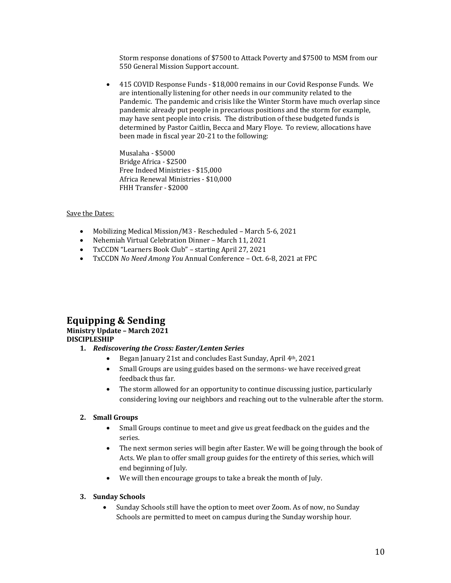Storm response donations of \$7500 to Attack Poverty and \$7500 to MSM from our 550 General Mission Support account.

• 415 COVID Response Funds - \$18,000 remains in our Covid Response Funds. We are intentionally listening for other needs in our community related to the Pandemic. The pandemic and crisis like the Winter Storm have much overlap since pandemic already put people in precarious positions and the storm for example, may have sent people into crisis. The distribution of these budgeted funds is determined by Pastor Caitlin, Becca and Mary Floye. To review, allocations have been made in fiscal year 20-21 to the following:

Musalaha - \$5000 Bridge Africa - \$2500 Free Indeed Ministries - \$15,000 Africa Renewal Ministries - \$10,000 FHH Transfer - \$2000

#### Save the Dates:

- Mobilizing Medical Mission/M3 Rescheduled March 5-6, 2021
- Nehemiah Virtual Celebration Dinner March 11, 2021
- TxCCDN "Learners Book Club" starting April 27, 2021
- TxCCDN *No Need Among You Annual Conference* Oct. 6-8, 2021 at FPC

## **Equipping & Sending**

#### **Ministry Update - March 2021 DISCIPLESHIP**

- 1. *Rediscovering the Cross: Easter/Lenten Series* 
	- Began January 21st and concludes East Sunday, April 4th, 2021
	- Small Groups are using guides based on the sermons- we have received great feedback thus far.
	- The storm allowed for an opportunity to continue discussing justice, particularly considering loving our neighbors and reaching out to the vulnerable after the storm.

#### **2. Small Groups**

- Small Groups continue to meet and give us great feedback on the guides and the series.
- The next sermon series will begin after Easter. We will be going through the book of Acts. We plan to offer small group guides for the entirety of this series, which will end beginning of July.
- We will then encourage groups to take a break the month of July.

#### **3. Sunday Schools**

• Sunday Schools still have the option to meet over Zoom. As of now, no Sunday Schools are permitted to meet on campus during the Sunday worship hour.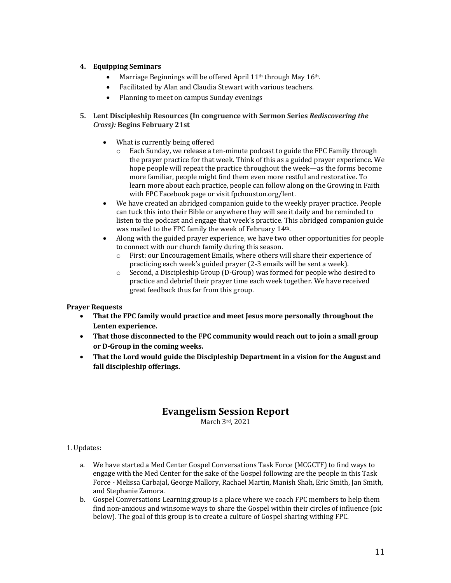### **4. Equipping Seminars**

- Marriage Beginnings will be offered April 11<sup>th</sup> through May 16<sup>th</sup>.
- Facilitated by Alan and Claudia Stewart with various teachers.
- Planning to meet on campus Sunday evenings

#### **5.** Lent Discipleship Resources (In congruence with Sermon Series *Rediscovering the Cross):* **Begins February 21st**

- $\bullet$  What is currently being offered
	- $\circ$  Each Sunday, we release a ten-minute podcast to guide the FPC Family through the prayer practice for that week. Think of this as a guided prayer experience. We hope people will repeat the practice throughout the week—as the forms become more familiar, people might find them even more restful and restorative. To learn more about each practice, people can follow along on the Growing in Faith with FPC Facebook page or visit fpchouston.org/lent.
- We have created an abridged companion guide to the weekly prayer practice. People can tuck this into their Bible or anywhere they will see it daily and be reminded to listen to the podcast and engage that week's practice. This abridged companion guide was mailed to the FPC family the week of February 14<sup>th</sup>.
- Along with the guided prayer experience, we have two other opportunities for people to connect with our church family during this season.
	- $\circ$  First: our Encouragement Emails, where others will share their experience of practicing each week's guided prayer (2-3 emails will be sent a week).
	- $\circ$  Second, a Discipleship Group (D-Group) was formed for people who desired to practice and debrief their prayer time each week together. We have received great feedback thus far from this group.

### **Prayer Requests**

- That the FPC family would practice and meet Jesus more personally throughout the Lenten experience.
- That those disconnected to the FPC community would reach out to join a small group or D-Group in the coming weeks.
- That the Lord would guide the Discipleship Department in a vision for the August and fall discipleship offerings.

## **Evangelism Session Report**

March 3rd, 2021

### 1. Updates:

- a. We have started a Med Center Gospel Conversations Task Force (MCGCTF) to find ways to engage with the Med Center for the sake of the Gospel following are the people in this Task Force - Melissa Carbajal, George Mallory, Rachael Martin, Manish Shah, Eric Smith, Jan Smith, and Stephanie Zamora.
- b. Gospel Conversations Learning group is a place where we coach FPC members to help them find non-anxious and winsome ways to share the Gospel within their circles of influence (pic below). The goal of this group is to create a culture of Gospel sharing withing FPC.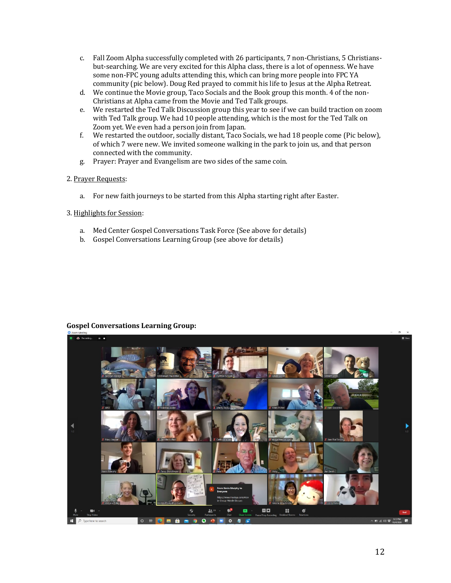- c. Fall Zoom Alpha successfully completed with 26 participants, 7 non-Christians, 5 Christiansbut-searching. We are very excited for this Alpha class, there is a lot of openness. We have some non-FPC young adults attending this, which can bring more people into FPC YA community (pic below). Doug Red prayed to commit his life to Jesus at the Alpha Retreat.
- d. We continue the Movie group, Taco Socials and the Book group this month. 4 of the non-Christians at Alpha came from the Movie and Ted Talk groups.
- e. We restarted the Ted Talk Discussion group this year to see if we can build traction on zoom with Ted Talk group. We had 10 people attending, which is the most for the Ted Talk on Zoom yet. We even had a person join from Japan.
- f. We restarted the outdoor, socially distant, Taco Socials, we had 18 people come (Pic below), of which 7 were new. We invited someone walking in the park to join us, and that person connected with the community.
- g. Prayer: Prayer and Evangelism are two sides of the same coin.

#### 2. Prayer Requests:

a. For new faith journeys to be started from this Alpha starting right after Easter.

#### 3. Highlights for Session:

- a. Med Center Gospel Conversations Task Force (See above for details)
- b. Gospel Conversations Learning Group (see above for details)



#### **Gospel Conversations Learning Group:**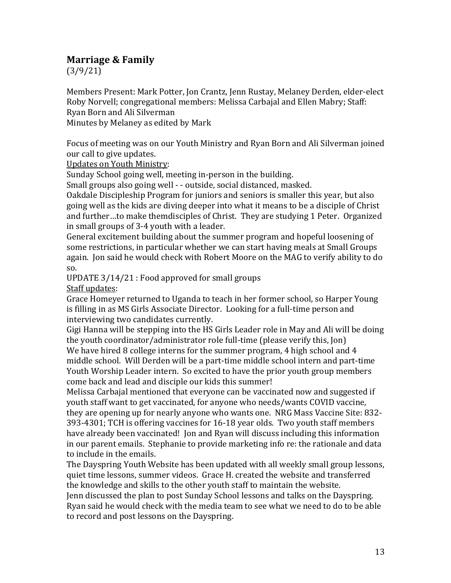# **Marriage & Family**

(3/9/21)

Members Present: Mark Potter, Jon Crantz, Jenn Rustay, Melaney Derden, elder-elect Roby Norvell; congregational members: Melissa Carbajal and Ellen Mabry; Staff: Ryan Born and Ali Silverman

Minutes by Melaney as edited by Mark

Focus of meeting was on our Youth Ministry and Ryan Born and Ali Silverman joined our call to give updates.

Updates on Youth Ministry:

Sunday School going well, meeting in-person in the building.

Small groups also going well - - outside, social distanced, masked.

Oakdale Discipleship Program for juniors and seniors is smaller this year, but also going well as the kids are diving deeper into what it means to be a disciple of Christ and further...to make themdisciples of Christ. They are studying 1 Peter. Organized in small groups of 3-4 youth with a leader.

General excitement building about the summer program and hopeful loosening of some restrictions, in particular whether we can start having meals at Small Groups again. Ion said he would check with Robert Moore on the MAG to verify ability to do so.

UPDATE  $3/14/21$ : Food approved for small groups

Staff updates:

Grace Homeyer returned to Uganda to teach in her former school, so Harper Young is filling in as MS Girls Associate Director. Looking for a full-time person and interviewing two candidates currently.

Gigi Hanna will be stepping into the HS Girls Leader role in May and Ali will be doing the youth coordinator/administrator role full-time (please verify this, Jon) We have hired 8 college interns for the summer program, 4 high school and  $4$ middle school. Will Derden will be a part-time middle school intern and part-time Youth Worship Leader intern. So excited to have the prior youth group members come back and lead and disciple our kids this summer!

Melissa Carbajal mentioned that everyone can be vaccinated now and suggested if youth staff want to get vaccinated, for anyone who needs/wants COVID vaccine, they are opening up for nearly anyone who wants one. NRG Mass Vaccine Site: 832-393-4301; TCH is offering vaccines for 16-18 year olds. Two youth staff members have already been vaccinated! Jon and Ryan will discuss including this information in our parent emails. Stephanie to provide marketing info re: the rationale and data to include in the emails.

The Dayspring Youth Website has been updated with all weekly small group lessons, quiet time lessons, summer videos. Grace H. created the website and transferred the knowledge and skills to the other youth staff to maintain the website.

Jenn discussed the plan to post Sunday School lessons and talks on the Dayspring. Ryan said he would check with the media team to see what we need to do to be able to record and post lessons on the Dayspring.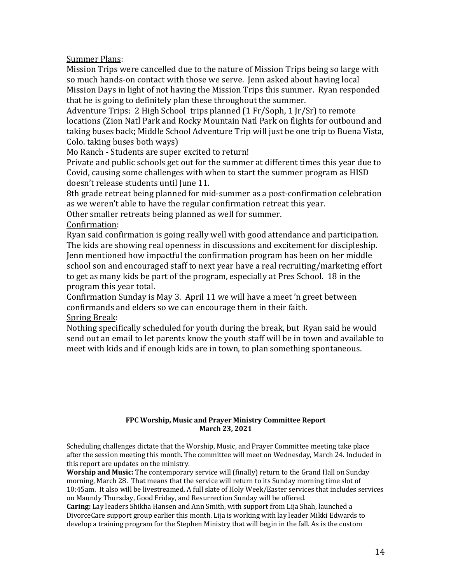Summer Plans:

Mission Trips were cancelled due to the nature of Mission Trips being so large with so much hands-on contact with those we serve. Jenn asked about having local Mission Days in light of not having the Mission Trips this summer. Ryan responded that he is going to definitely plan these throughout the summer.

Adventure Trips: 2 High School trips planned  $(1 Fr/Soph, 1 [r/Sr])$  to remote locations (Zion Natl Park and Rocky Mountain Natl Park on flights for outbound and taking buses back; Middle School Adventure Trip will just be one trip to Buena Vista, Colo. taking buses both ways)

Mo Ranch - Students are super excited to return!

Private and public schools get out for the summer at different times this year due to Covid, causing some challenges with when to start the summer program as HISD doesn't release students until June 11.

8th grade retreat being planned for mid-summer as a post-confirmation celebration as we weren't able to have the regular confirmation retreat this year.

Other smaller retreats being planned as well for summer.

Confirmation:

Ryan said confirmation is going really well with good attendance and participation. The kids are showing real openness in discussions and excitement for discipleship. Jenn mentioned how impactful the confirmation program has been on her middle school son and encouraged staff to next year have a real recruiting/marketing effort to get as many kids be part of the program, especially at Pres School. 18 in the program this year total.

Confirmation Sunday is May 3. April 11 we will have a meet 'n greet between confirmands and elders so we can encourage them in their faith. Spring Break:

Nothing specifically scheduled for youth during the break, but Ryan said he would send out an email to let parents know the youth staff will be in town and available to meet with kids and if enough kids are in town, to plan something spontaneous.

#### **FPC Worship, Music and Prayer Ministry Committee Report March 23, 2021**

Scheduling challenges dictate that the Worship, Music, and Prayer Committee meeting take place after the session meeting this month. The committee will meet on Wednesday, March 24. Included in this report are updates on the ministry.

**Worship and Music:** The contemporary service will (finally) return to the Grand Hall on Sunday morning, March 28. That means that the service will return to its Sunday morning time slot of 10:45am. It also will be livestreamed. A full slate of Holy Week/Easter services that includes services on Maundy Thursday, Good Friday, and Resurrection Sunday will be offered.

Caring: Lay leaders Shikha Hansen and Ann Smith, with support from Lija Shah, launched a DivorceCare support group earlier this month. Lija is working with lay leader Mikki Edwards to develop a training program for the Stephen Ministry that will begin in the fall. As is the custom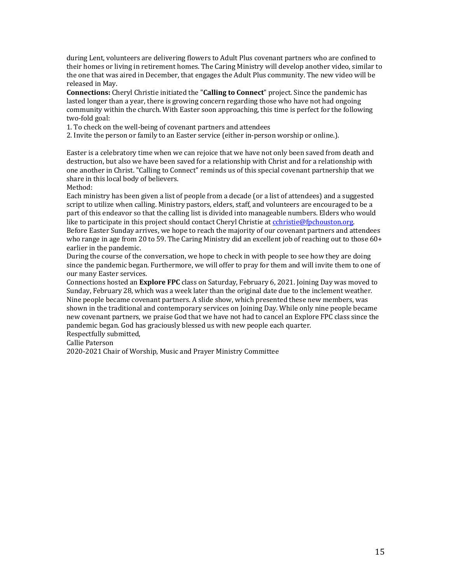during Lent, volunteers are delivering flowers to Adult Plus covenant partners who are confined to their homes or living in retirement homes. The Caring Ministry will develop another video, similar to the one that was aired in December, that engages the Adult Plus community. The new video will be released in May.

**Connections:** Cheryl Christie initiated the "**Calling to Connect**" project. Since the pandemic has lasted longer than a year, there is growing concern regarding those who have not had ongoing community within the church. With Easter soon approaching, this time is perfect for the following two-fold goal:

1. To check on the well-being of covenant partners and attendees

2. Invite the person or family to an Easter service (either in-person worship or online.).

Easter is a celebratory time when we can rejoice that we have not only been saved from death and destruction, but also we have been saved for a relationship with Christ and for a relationship with one another in Christ. "Calling to Connect" reminds us of this special covenant partnership that we share in this local body of believers.

Method:

Each ministry has been given a list of people from a decade (or a list of attendees) and a suggested script to utilize when calling. Ministry pastors, elders, staff, and volunteers are encouraged to be a part of this endeavor so that the calling list is divided into manageable numbers. Elders who would like to participate in this project should contact Cheryl Christie at cchristie@fpchouston.org.

Before Easter Sunday arrives, we hope to reach the majority of our covenant partners and attendees who range in age from 20 to 59. The Caring Ministry did an excellent job of reaching out to those  $60+$ earlier in the pandemic.

During the course of the conversation, we hope to check in with people to see how they are doing since the pandemic began. Furthermore, we will offer to pray for them and will invite them to one of our many Easter services.

Connections hosted an **Explore FPC** class on Saturday, February 6, 2021. Joining Day was moved to Sunday, February 28, which was a week later than the original date due to the inclement weather. Nine people became covenant partners. A slide show, which presented these new members, was shown in the traditional and contemporary services on Joining Day. While only nine people became new covenant partners, we praise God that we have not had to cancel an Explore FPC class since the pandemic began. God has graciously blessed us with new people each quarter.

Respectfully submitted,

Callie Paterson

2020-2021 Chair of Worship, Music and Prayer Ministry Committee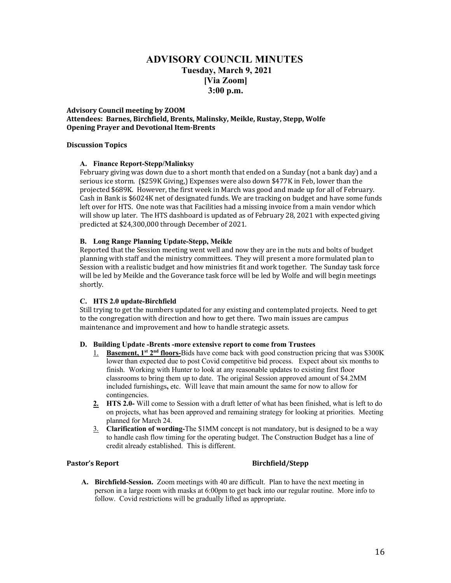## **ADVISORY COUNCIL MINUTES Tuesday, March 9, 2021 [Via Zoom] 3:00 p.m.**

#### **Advisory Council meeting by ZOOM** Attendees: Barnes, Birchfield, Brents, Malinsky, Meikle, Rustay, Stepp, Wolfe **Opening Prayer and Devotional Item-Brents**

#### **Discussion Topics**

#### **A. Finance Report-Stepp/Malinksy**

February giving was down due to a short month that ended on a Sunday (not a bank day) and a serious ice storm. (\$259K Giving,) Expenses were also down \$477K in Feb, lower than the projected \$689K. However, the first week in March was good and made up for all of February. Cash in Bank is \$6024K net of designated funds. We are tracking on budget and have some funds left over for HTS. One note was that Facilities had a missing invoice from a main vendor which will show up later. The HTS dashboard is updated as of February 28, 2021 with expected giving predicted at \$24,300,000 through December of 2021.

#### **B. Long Range Planning Update-Stepp, Meikle**

Reported that the Session meeting went well and now they are in the nuts and bolts of budget planning with staff and the ministry committees. They will present a more formulated plan to Session with a realistic budget and how ministries fit and work together. The Sunday task force will be led by Meikle and the Goverance task force will be led by Wolfe and will begin meetings shortly. 

#### **C. HTS 2.0 update-Birchfield**

Still trying to get the numbers updated for any existing and contemplated projects. Need to get to the congregation with direction and how to get there. Two main issues are campus maintenance and improvement and how to handle strategic assets.

#### **D. Building Update -Brents -more extensive report to come from Trustees**

- 1. **Basement, 1st 2nd floors-**Bids have come back with good construction pricing that was \$300K lower than expected due to post Covid competitive bid process. Expect about six months to finish. Working with Hunter to look at any reasonable updates to existing first floor classrooms to bring them up to date. The original Session approved amount of \$4.2MM included furnishings**,** etc. Will leave that main amount the same for now to allow for contingencies.
- **2. HTS 2.0-** Will come to Session with a draft letter of what has been finished, what is left to do on projects, what has been approved and remaining strategy for looking at priorities.Meeting planned for March 24.
- 3. **Clarification of wording-**The \$1MM concept is not mandatory, but is designed to be a way to handle cash flow timing for the operating budget. The Construction Budget has a line of credit already established. This is different.

#### **Pastor's Report Birchfield/Stepp**

**A. Birchfield-Session.** Zoom meetings with 40 are difficult. Plan to have the next meeting in person in a large room with masks at 6:00pm to get back into our regular routine. More info to follow.Covid restrictions will be gradually lifted as appropriate.